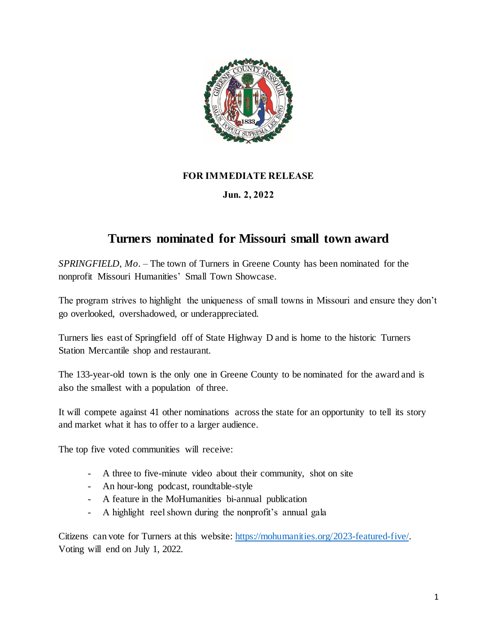

## **FOR IMMEDIATE RELEASE**

## **Jun. 2, 2022**

## **Turners nominated for Missouri small town award**

*SPRINGFIELD, Mo.* – The town of Turners in Greene County has been nominated for the nonprofit Missouri Humanities' Small Town Showcase.

The program strives to highlight the uniqueness of small towns in Missouri and ensure they don't go overlooked, overshadowed, or underappreciated.

Turners lies east of Springfield off of State Highway D and is home to the historic Turners Station Mercantile shop and restaurant.

The 133-year-old town is the only one in Greene County to be nominated for the award and is also the smallest with a population of three.

It will compete against 41 other nominations across the state for an opportunity to tell its story and market what it has to offer to a larger audience.

The top five voted communities will receive:

- A three to five-minute video about their community, shot on site
- An hour-long podcast, roundtable-style
- A feature in the MoHumanities bi-annual publication
- A highlight reel shown during the nonprofit's annual gala

Citizens can vote for Turners at this website: [https://mohumanities.org/2023-featured-five/.](https://mohumanities.org/2023-featured-five/)  Voting will end on July 1, 2022.